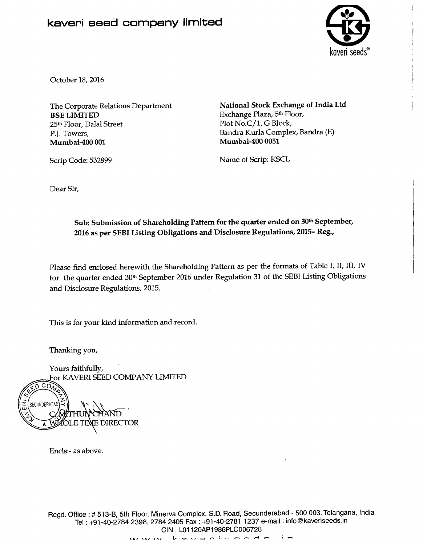## kaveri seed company limited



October 18,2016

The Corporate Relations Department **BSE LIMITED**  25th Floor, Dalal Street P.I. Towers, **Mumbai-400 001** 

**National Stock Exchange of India Ltd**  Exchange Plaza, 5<sup>th</sup> Floor, Plot No.C/1, G Block, Bandra Kurla Complex, Bandra (E) **Mumbai-400 0051** 

Name of Scrip: KSCL

Dear Sir,

Scrip Code: 532899

**Sub: Submission of Shareholding Pattern for the quarter ended on 30th September, 2016 as per SEBI Listing Obligations and Disclosure Regulations, 2015- Reg.,** 

Please find enclosed herewith the Shareholding Pattern as per the formats of Table I, II, III, IV for the quarter ended 30th September 2016 under Regulation 31 of the SEBI Listing Obligations and Disclosure Regulations, 2015.

This is for your kind information and record.

Thanking you,

 $\widehat{\text{co}_{\ell}}$ 

Yours faithfully, For KAVERI SEED COMPANY LIMITED

SECUNDERACAD E TIME DIRECTOR.

Enc1s:- as above.

Regd. Office : # 513-B, 5th Floor, Minerva Complex, S.D. Road, Secunderabad - 500 003. Telangana, India Tel : +91-40-2784 2398, 2784 2405 Fax : +91-40-2781 1237 e-mail : info@kaveriseeds.in GIN : L01120AP1986PLC006728<br>A, \A, \A, L = \, = m i m m = d = i m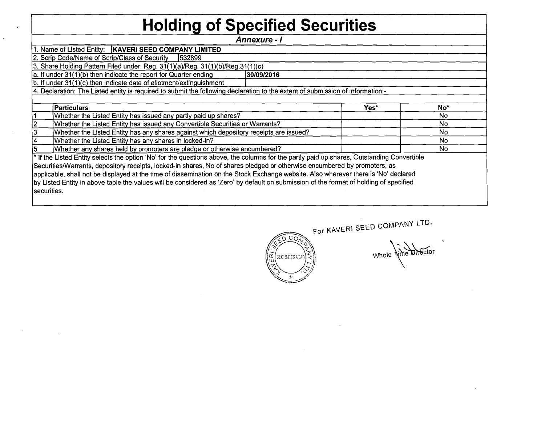## **Holding of Specified Securities**

**Annexure** - **1** 

1. Name of Listed Entity: **KAVERI SEED COMPANY LIMITED**<br>2. Scrip Code/Name of Scrip/Class of Security **532899** 

2. Scrip Code/Name of Scrip/Class of Security

securities.

3. Share Holding Pattern Filed under: Reg.  $31(1)(a)/Reg. 31(1)(b)/Reg.31(1)(c)$ <br>a. If under  $31(1)(b)$  then indicate the report for Quarter ending [30/09/2016]

a. If under 31 (1 **)(b)** then indicate the report for Quarter ending **130/09/2016** 

 $b.$  If under 31(1)(c) then indicate date of allotment/extinguishment

| Yes*                                                                                                                                                                                                                                                                                                                                                                                                           | No <sup>+</sup>                                                                                                                        |
|----------------------------------------------------------------------------------------------------------------------------------------------------------------------------------------------------------------------------------------------------------------------------------------------------------------------------------------------------------------------------------------------------------------|----------------------------------------------------------------------------------------------------------------------------------------|
|                                                                                                                                                                                                                                                                                                                                                                                                                | No.                                                                                                                                    |
|                                                                                                                                                                                                                                                                                                                                                                                                                | No.                                                                                                                                    |
|                                                                                                                                                                                                                                                                                                                                                                                                                | No.                                                                                                                                    |
|                                                                                                                                                                                                                                                                                                                                                                                                                | No                                                                                                                                     |
|                                                                                                                                                                                                                                                                                                                                                                                                                | No                                                                                                                                     |
| * If the Listed Entity selects the option 'No' for the questions above, the columns for the partly paid up shares, Outstanding Convertible<br>Securities/Warrants, depository receipts, locked-in shares, No of shares pledged or otherwise encumbered by promoters, as<br>applicable, shall not be displayed at the time of dissemination on the Stock Exchange website. Also wherever there is 'No' declared |                                                                                                                                        |
|                                                                                                                                                                                                                                                                                                                                                                                                                | by Listed Entity in above table the values will be considered as 'Zero' by default on submission of the format of holding of specified |



For KAVERI SEED COMPANY LTD.

Whole *Nine* Director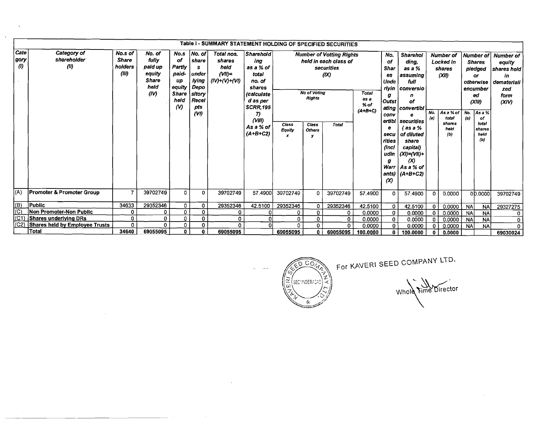|                          | Table I - SUMMARY STATEMENT HOLDING OF SPECIFIED SECURITIES |                                             |                                                                      |                                                                                                |                                                                                          |                                                             |                                                                                                                                                                  |                                 |                                                                |                                                                                                |                                             |                                                                                                                                                          |                                                                                                                                                                                                                                         |             |                                                                                                 |                        |                                                                                                                                        |                                                                                        |
|--------------------------|-------------------------------------------------------------|---------------------------------------------|----------------------------------------------------------------------|------------------------------------------------------------------------------------------------|------------------------------------------------------------------------------------------|-------------------------------------------------------------|------------------------------------------------------------------------------------------------------------------------------------------------------------------|---------------------------------|----------------------------------------------------------------|------------------------------------------------------------------------------------------------|---------------------------------------------|----------------------------------------------------------------------------------------------------------------------------------------------------------|-----------------------------------------------------------------------------------------------------------------------------------------------------------------------------------------------------------------------------------------|-------------|-------------------------------------------------------------------------------------------------|------------------------|----------------------------------------------------------------------------------------------------------------------------------------|----------------------------------------------------------------------------------------|
| Cate<br>gory<br>$\omega$ | Category of<br>shareholder<br>(11)                          | No.s of<br><b>Share</b><br>holders<br>(III) | No. of<br>fully<br>paid up<br>equity<br><b>Share</b><br>heid<br>(IV) | No.s<br>оf<br>Partly<br>paid-<br>up<br>equity<br><b>Share</b><br>held<br>$\boldsymbol{\omega}$ | No. of<br><b>share</b><br>s.<br>under<br>lying<br>Depo<br>sitory<br>Recel<br>pts<br>(VI) | Total nos.<br>shares<br>held<br>$(VII)=$<br>$(IV)+(V)+(VI)$ | <b>Sharehold</b><br>ing<br>as a % of<br>total<br>no. of<br>shares<br><i>(calculate</i><br>d as per<br><b>SCRR,195</b><br>7)<br>(VIII)<br>As a % of<br>$(A+B+C2)$ | Class<br>Equity<br>$\mathbf{x}$ | <b>No of Votina</b><br><b>Rights</b><br>Class<br><b>Others</b> | <b>Number of Votting Rights</b><br>held in each class of<br>securities<br>(IX)<br><b>Total</b> | <b>Total</b><br>as a<br>$%$ of<br>$(A+B+C)$ | No.<br>of<br>Shar<br>es<br><b>Unde</b><br>rlyin<br>g<br><b>Outst</b><br>ating<br>conv<br>ertibl<br>е<br>secu<br>rities<br>(incl<br>udin<br>g<br>$\alpha$ | <b>Sharehol</b><br>ding,<br>as a %<br>assuming<br>full<br>  conversio<br>n<br>оf<br>convertibl<br>securities<br>$($ as a $%$<br>of diluted<br>share<br>capital)<br>$(XI)= (VII)+$<br>$\infty$<br>Warr   $As a % of$<br>ants) $(A+B+C2)$ | No.<br>(a)  | <b>Number of</b><br>Locked in<br>shares<br>(XII)<br>As a % of<br>total<br>shares<br>held<br>(b) | No.<br>(a)             | Number of<br><b>Shares</b><br>pledged<br>or<br>otherwise<br>encumber<br>еd<br>(XIII)<br>As a %<br>of<br>total<br>shares<br>held<br>(b) | <b>Number of</b><br>eauity<br>shares held<br>in<br>demateriali<br>zed<br>form<br>(XIN) |
| (A)                      | <b>Promoter &amp; Promoter Group</b>                        | $\overline{7}$                              | 39702749                                                             | $\mathbf 0$                                                                                    | 0                                                                                        | 39702749                                                    | 57.4900                                                                                                                                                          | 39702749                        | 0                                                              | 39702749                                                                                       | 57.4900                                     | $\Omega$                                                                                                                                                 | 57.4900                                                                                                                                                                                                                                 | $\Omega$    | 0.0000                                                                                          |                        | 00.0000                                                                                                                                | 39702749                                                                               |
| (B)<br>(C)               | Public<br>Non Promoter-Non Public                           | 34633<br>$\mathbf 0$                        | 29352346<br>٥                                                        | 0<br>$\mathbf 0$                                                                               | 0<br>0                                                                                   | 29352346                                                    | 42.5100                                                                                                                                                          | 29352346                        | 0                                                              | 29352346                                                                                       | 42.5100                                     | $\circ$                                                                                                                                                  | 42.5100                                                                                                                                                                                                                                 | 0           | 0.0000                                                                                          | <b>NA</b>              | <b>NA</b>                                                                                                                              | 29327275                                                                               |
| (C1)                     | Shares underlying DRs                                       | 0                                           | $\mathbf{0}$                                                         | $\mathbf 0$                                                                                    | 0                                                                                        | 0<br>0                                                      | 0<br> 0                                                                                                                                                          | 0<br>0                          | 0<br>0                                                         | 0<br>0                                                                                         | 0.0000                                      | 0                                                                                                                                                        | 0.0000                                                                                                                                                                                                                                  | $\mathbf 0$ | 0.0000                                                                                          | NA.                    | <b>NA</b>                                                                                                                              | 0                                                                                      |
| (C2)                     | <b>Shares held by Employee Trusts</b>                       | 0                                           | 0                                                                    | 0                                                                                              | 0                                                                                        | Ω                                                           | ΩI                                                                                                                                                               | 0.                              | $\mathbf 0$                                                    | $\Omega$                                                                                       | 0.0000<br>0.0000                            | 0<br>$\mathbf 0$                                                                                                                                         | 0.0000<br>0.0000                                                                                                                                                                                                                        | 0<br>0      | 0.0000<br>0.0000                                                                                | <b>NA</b><br><b>NA</b> | <b>NA</b><br><b>NA</b>                                                                                                                 | 0                                                                                      |
|                          | Total                                                       | 34640                                       | 69055095                                                             | $\mathbf{0}$                                                                                   | 0                                                                                        | 69055095                                                    |                                                                                                                                                                  | 69055095                        | 0                                                              | 69055095                                                                                       | 100.0000                                    | 0                                                                                                                                                        | 100.0000                                                                                                                                                                                                                                | o           | 0.0000                                                                                          |                        |                                                                                                                                        | 69030024                                                                               |

 $\lambda$ 

 $\ddot{\phantom{a}}$ 



 $\mathcal{L} \in \mathcal{H}^{\mathcal{L}}$ 

For KAVERI SEED COMPANY LTD.

Whole Fime Director

 $\sim$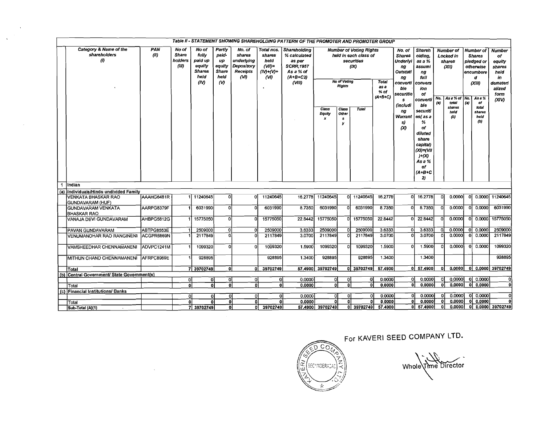| <b>Number of Voting Rights</b><br><b>Number of</b><br>Number of  <br>shareholders<br>(11)<br><b>Share</b><br>fully<br>paid-<br>shares<br>shares<br>% calculated<br>held in each class of<br><b>Shares</b><br>olding,<br>Locked in<br><b>Shares</b><br>$\boldsymbol{\theta}$<br>paid up<br>holders<br>underlying<br>up<br>held<br>securities<br>as per<br><b>Underlyi</b><br>as a %<br>shares<br>pledged or<br>equity<br><b>SCRR.1957</b><br>(III)<br>equity<br>Depository<br>$(VII)$ =<br>(X)<br>(XII)<br>assumi<br>otherwise<br>ng<br><b>Shares</b><br><b>Share</b><br><b>Receipts</b><br>$(IV)+(V)+$<br>As a % of<br>Outstati<br>encumbere<br>ng<br>heid<br>heid<br>(VI)<br>$(A+B+C2)$<br>(WI<br>full<br>d<br>ng<br>No of Voting<br>Total<br>(IV)<br>$\omega$<br>$\alpha$ $\mu$<br>converti<br>convers<br>(XIII)<br><b>Rights</b><br>as a<br>ble<br>ion<br>% of<br>securitie<br>of<br>$(A+B+C)$<br>No.<br>As a % of No.<br>As a %<br>converti<br>s<br>$\left( n\right)$<br>total<br>(a)<br>- of<br>(includi<br>ble<br>shares<br>total<br>Class<br>Class<br>Total<br>securiti<br>na<br>neld<br>shares<br>Equity<br>Other<br>Warrant<br>es as a<br>held<br>(b)<br>$\boldsymbol{x}$<br>$\mathbf{s}$<br>(b)<br>%<br>s)<br>y<br>$\infty$<br>of<br>diluted<br>share<br>capital)<br>(XI)=(VII<br>H(X)<br>As a %<br>of<br>$(A+B+C)$<br>2)<br>-1<br>Indian<br>(a) Individuals/Hindu undivided Family<br>11240645<br>16.2778 11240645<br>0 11240645<br>16.2778<br>0 16.2778<br>0 0.0000 11240645<br>VENKATA BHASKAR RAO<br>AAAHG6481R<br>1 11240645<br>0l<br>ΩL<br>οl<br>0.0000<br>GUNDAVARAM (HUF)<br>8.7350<br>6031990<br>6031990<br>8.7350<br>8.7350<br>0.0000<br>0.0000<br>AARPG8379F<br>6031990<br>-ol<br>6031990<br>οl<br><b>GUNDAVARAM VENKATA</b><br>n<br>$\Omega$<br><b>BHASKAR RAO</b><br>-ol<br>15775050<br>15775050<br>15775050<br>22.8442<br>22.8442<br>0.0000<br>0.0000<br>AHBPG5812G<br>15775050<br>22.8442<br>οI<br>VANAJA DEVI GUNDAVARAM<br>$\Omega$<br>0l<br>2509000<br>2509000<br>2509000<br>3.6333<br>3.6333<br>0.0000<br>0 0.0000<br>ABTPG8553E<br>2509000<br>οl<br>3.6333<br>οI<br>O<br>0l<br>IPAVAN GUNDAVARAM<br>0.0000<br>0 0.0000<br>3.0700<br>2117849<br>2117849<br>3.0700<br>3.0700<br>VENUMANOHAR RAO RANGINENI<br>ACGPR6869N<br>2117849<br>n<br>2117849<br>ol<br>οì<br>1099320<br>1.5900<br>1.5900<br>0.0000<br>0.0000<br>1099320<br>1099320<br>οl<br>ADVPC1241M<br>1099320<br>1.5900<br>Ω<br>VAMSHEEDHAR CHENNAMANENI<br>n<br>o<br>928895<br>928895<br>928895<br>1.3400<br>928895<br>1.3400<br>1,3400<br>MITHUN CHAND CHENNAMANENI AFRPC8969E<br>57,4900 39702749<br>0 39702749<br>57.4900<br>0 57.4900<br>$0.0000$ 0 0.0000 39702749<br>39702749<br>7 39702749<br>٥l<br>οI<br>٥I<br>Total<br>(b) Central Government/ State Government(s)<br>0.0000<br>0.0000<br>0.0000<br>οI<br>0.0000<br>οĮ<br>0.0000<br>-O<br>Ωl<br>οl<br>οl<br>0<br>οı<br>Οl<br>ŋ<br>0.0000<br>0.0000<br>0 0.0000<br>ol<br>οl<br>οI<br>0.0000<br>οl<br>-ol<br>۵I<br>$\Omega$<br>0.0000<br>0<br>٥I<br>٥I<br>Total |                        |            |       |            |        |        |            | Table II - STATEMENT SHOWING SHAREHOLDING PATTERN OF THE PROMOTER AND PROMOTER GROUP |                  |          |                    |        |               |    |        |                   |                                                       |
|--------------------------------------------------------------------------------------------------------------------------------------------------------------------------------------------------------------------------------------------------------------------------------------------------------------------------------------------------------------------------------------------------------------------------------------------------------------------------------------------------------------------------------------------------------------------------------------------------------------------------------------------------------------------------------------------------------------------------------------------------------------------------------------------------------------------------------------------------------------------------------------------------------------------------------------------------------------------------------------------------------------------------------------------------------------------------------------------------------------------------------------------------------------------------------------------------------------------------------------------------------------------------------------------------------------------------------------------------------------------------------------------------------------------------------------------------------------------------------------------------------------------------------------------------------------------------------------------------------------------------------------------------------------------------------------------------------------------------------------------------------------------------------------------------------------------------------------------------------------------------------------------------------------------------------------------------------------------------------------------------------------------------------------------------------------------------------------------------------------------------------------------------------------------------------------------------------------------------------------------------------------------------------------------------------------------------------------------------------------------------------------------------------------------------------------------------------------------------------------------------------------------------------------------------------------------------------------------------------------------------------------------------------------------------------------------------------------------------------------------------------------------------------------------------------------------------------------------------------------------------------------------------------------------------------------------------------------------------------------------------------------|------------------------|------------|-------|------------|--------|--------|------------|--------------------------------------------------------------------------------------|------------------|----------|--------------------|--------|---------------|----|--------|-------------------|-------------------------------------------------------|
|                                                                                                                                                                                                                                                                                                                                                                                                                                                                                                                                                                                                                                                                                                                                                                                                                                                                                                                                                                                                                                                                                                                                                                                                                                                                                                                                                                                                                                                                                                                                                                                                                                                                                                                                                                                                                                                                                                                                                                                                                                                                                                                                                                                                                                                                                                                                                                                                                                                                                                                                                                                                                                                                                                                                                                                                                                                                                                                                                                                                              | Category & Name of the | <b>PAN</b> | No of | No of      | Partly | No. of | Total nos. | Shareholding                                                                         |                  |          |                    | No. of | <b>Shareh</b> |    |        |                   | <b>Number</b><br>of<br>equity<br>shares<br>held<br>in |
|                                                                                                                                                                                                                                                                                                                                                                                                                                                                                                                                                                                                                                                                                                                                                                                                                                                                                                                                                                                                                                                                                                                                                                                                                                                                                                                                                                                                                                                                                                                                                                                                                                                                                                                                                                                                                                                                                                                                                                                                                                                                                                                                                                                                                                                                                                                                                                                                                                                                                                                                                                                                                                                                                                                                                                                                                                                                                                                                                                                                              |                        |            |       |            |        |        |            |                                                                                      |                  |          |                    |        |               |    |        |                   | demateri<br>alized<br>form<br>(XIV)                   |
|                                                                                                                                                                                                                                                                                                                                                                                                                                                                                                                                                                                                                                                                                                                                                                                                                                                                                                                                                                                                                                                                                                                                                                                                                                                                                                                                                                                                                                                                                                                                                                                                                                                                                                                                                                                                                                                                                                                                                                                                                                                                                                                                                                                                                                                                                                                                                                                                                                                                                                                                                                                                                                                                                                                                                                                                                                                                                                                                                                                                              |                        |            |       |            |        |        |            |                                                                                      |                  |          |                    |        |               |    |        |                   |                                                       |
|                                                                                                                                                                                                                                                                                                                                                                                                                                                                                                                                                                                                                                                                                                                                                                                                                                                                                                                                                                                                                                                                                                                                                                                                                                                                                                                                                                                                                                                                                                                                                                                                                                                                                                                                                                                                                                                                                                                                                                                                                                                                                                                                                                                                                                                                                                                                                                                                                                                                                                                                                                                                                                                                                                                                                                                                                                                                                                                                                                                                              |                        |            |       |            |        |        |            |                                                                                      |                  |          |                    |        |               |    |        |                   |                                                       |
|                                                                                                                                                                                                                                                                                                                                                                                                                                                                                                                                                                                                                                                                                                                                                                                                                                                                                                                                                                                                                                                                                                                                                                                                                                                                                                                                                                                                                                                                                                                                                                                                                                                                                                                                                                                                                                                                                                                                                                                                                                                                                                                                                                                                                                                                                                                                                                                                                                                                                                                                                                                                                                                                                                                                                                                                                                                                                                                                                                                                              |                        |            |       |            |        |        |            |                                                                                      |                  |          |                    |        |               |    |        |                   |                                                       |
|                                                                                                                                                                                                                                                                                                                                                                                                                                                                                                                                                                                                                                                                                                                                                                                                                                                                                                                                                                                                                                                                                                                                                                                                                                                                                                                                                                                                                                                                                                                                                                                                                                                                                                                                                                                                                                                                                                                                                                                                                                                                                                                                                                                                                                                                                                                                                                                                                                                                                                                                                                                                                                                                                                                                                                                                                                                                                                                                                                                                              |                        |            |       |            |        |        |            |                                                                                      |                  |          |                    |        |               |    |        |                   |                                                       |
|                                                                                                                                                                                                                                                                                                                                                                                                                                                                                                                                                                                                                                                                                                                                                                                                                                                                                                                                                                                                                                                                                                                                                                                                                                                                                                                                                                                                                                                                                                                                                                                                                                                                                                                                                                                                                                                                                                                                                                                                                                                                                                                                                                                                                                                                                                                                                                                                                                                                                                                                                                                                                                                                                                                                                                                                                                                                                                                                                                                                              |                        |            |       |            |        |        |            |                                                                                      |                  |          |                    |        |               |    |        |                   | 6031990                                               |
|                                                                                                                                                                                                                                                                                                                                                                                                                                                                                                                                                                                                                                                                                                                                                                                                                                                                                                                                                                                                                                                                                                                                                                                                                                                                                                                                                                                                                                                                                                                                                                                                                                                                                                                                                                                                                                                                                                                                                                                                                                                                                                                                                                                                                                                                                                                                                                                                                                                                                                                                                                                                                                                                                                                                                                                                                                                                                                                                                                                                              |                        |            |       |            |        |        |            |                                                                                      |                  |          |                    |        |               |    |        |                   | 15775050                                              |
|                                                                                                                                                                                                                                                                                                                                                                                                                                                                                                                                                                                                                                                                                                                                                                                                                                                                                                                                                                                                                                                                                                                                                                                                                                                                                                                                                                                                                                                                                                                                                                                                                                                                                                                                                                                                                                                                                                                                                                                                                                                                                                                                                                                                                                                                                                                                                                                                                                                                                                                                                                                                                                                                                                                                                                                                                                                                                                                                                                                                              |                        |            |       |            |        |        |            |                                                                                      |                  |          |                    |        |               |    |        |                   | 2509000                                               |
|                                                                                                                                                                                                                                                                                                                                                                                                                                                                                                                                                                                                                                                                                                                                                                                                                                                                                                                                                                                                                                                                                                                                                                                                                                                                                                                                                                                                                                                                                                                                                                                                                                                                                                                                                                                                                                                                                                                                                                                                                                                                                                                                                                                                                                                                                                                                                                                                                                                                                                                                                                                                                                                                                                                                                                                                                                                                                                                                                                                                              |                        |            |       |            |        |        |            |                                                                                      |                  |          |                    |        |               |    |        |                   | 2117849                                               |
|                                                                                                                                                                                                                                                                                                                                                                                                                                                                                                                                                                                                                                                                                                                                                                                                                                                                                                                                                                                                                                                                                                                                                                                                                                                                                                                                                                                                                                                                                                                                                                                                                                                                                                                                                                                                                                                                                                                                                                                                                                                                                                                                                                                                                                                                                                                                                                                                                                                                                                                                                                                                                                                                                                                                                                                                                                                                                                                                                                                                              |                        |            |       |            |        |        |            |                                                                                      |                  |          |                    |        |               |    |        |                   | 1099320                                               |
|                                                                                                                                                                                                                                                                                                                                                                                                                                                                                                                                                                                                                                                                                                                                                                                                                                                                                                                                                                                                                                                                                                                                                                                                                                                                                                                                                                                                                                                                                                                                                                                                                                                                                                                                                                                                                                                                                                                                                                                                                                                                                                                                                                                                                                                                                                                                                                                                                                                                                                                                                                                                                                                                                                                                                                                                                                                                                                                                                                                                              |                        |            |       |            |        |        |            |                                                                                      |                  |          |                    |        |               |    |        |                   | 928895                                                |
|                                                                                                                                                                                                                                                                                                                                                                                                                                                                                                                                                                                                                                                                                                                                                                                                                                                                                                                                                                                                                                                                                                                                                                                                                                                                                                                                                                                                                                                                                                                                                                                                                                                                                                                                                                                                                                                                                                                                                                                                                                                                                                                                                                                                                                                                                                                                                                                                                                                                                                                                                                                                                                                                                                                                                                                                                                                                                                                                                                                                              |                        |            |       |            |        |        |            |                                                                                      |                  |          |                    |        |               |    |        |                   |                                                       |
|                                                                                                                                                                                                                                                                                                                                                                                                                                                                                                                                                                                                                                                                                                                                                                                                                                                                                                                                                                                                                                                                                                                                                                                                                                                                                                                                                                                                                                                                                                                                                                                                                                                                                                                                                                                                                                                                                                                                                                                                                                                                                                                                                                                                                                                                                                                                                                                                                                                                                                                                                                                                                                                                                                                                                                                                                                                                                                                                                                                                              |                        |            |       |            |        |        |            |                                                                                      |                  |          |                    |        |               |    |        |                   |                                                       |
|                                                                                                                                                                                                                                                                                                                                                                                                                                                                                                                                                                                                                                                                                                                                                                                                                                                                                                                                                                                                                                                                                                                                                                                                                                                                                                                                                                                                                                                                                                                                                                                                                                                                                                                                                                                                                                                                                                                                                                                                                                                                                                                                                                                                                                                                                                                                                                                                                                                                                                                                                                                                                                                                                                                                                                                                                                                                                                                                                                                                              |                        |            |       |            |        |        |            |                                                                                      |                  |          |                    |        |               |    |        |                   |                                                       |
|                                                                                                                                                                                                                                                                                                                                                                                                                                                                                                                                                                                                                                                                                                                                                                                                                                                                                                                                                                                                                                                                                                                                                                                                                                                                                                                                                                                                                                                                                                                                                                                                                                                                                                                                                                                                                                                                                                                                                                                                                                                                                                                                                                                                                                                                                                                                                                                                                                                                                                                                                                                                                                                                                                                                                                                                                                                                                                                                                                                                              |                        |            |       |            |        |        |            |                                                                                      |                  | $\Omega$ |                    |        |               |    |        |                   |                                                       |
| (c) Financial Institutions/ Banks<br>0.0000<br>0.0000<br>ol 0.0000<br>Οİ<br><sub>0</sub><br>0.0000<br>ΩI<br>οI<br>0.0000<br>0<br>οl<br>ΩI<br>o                                                                                                                                                                                                                                                                                                                                                                                                                                                                                                                                                                                                                                                                                                                                                                                                                                                                                                                                                                                                                                                                                                                                                                                                                                                                                                                                                                                                                                                                                                                                                                                                                                                                                                                                                                                                                                                                                                                                                                                                                                                                                                                                                                                                                                                                                                                                                                                                                                                                                                                                                                                                                                                                                                                                                                                                                                                               | Total                  |            |       |            |        |        |            |                                                                                      |                  | n        |                    |        |               |    |        |                   |                                                       |
| 0.0000<br>0.0000<br>0.0000<br>0 0.0000<br>οl<br>0.0000<br>οI<br>٥I<br>οl<br>Ωl<br>٥I<br>0                                                                                                                                                                                                                                                                                                                                                                                                                                                                                                                                                                                                                                                                                                                                                                                                                                                                                                                                                                                                                                                                                                                                                                                                                                                                                                                                                                                                                                                                                                                                                                                                                                                                                                                                                                                                                                                                                                                                                                                                                                                                                                                                                                                                                                                                                                                                                                                                                                                                                                                                                                                                                                                                                                                                                                                                                                                                                                                    | Sub-Total (A)(1)       |            |       | 7 39702749 | οl     |        | 0 39702749 |                                                                                      | 57.4900 39702749 |          | 0 39702749 57.4900 |        | $0$   57.4900 | ΩI | 0.0000 | 0 0.0000 39702749 |                                                       |

For KAVERI SEED COMPANY LTD-

<u>co\*</u> D ʻz Ιœ SEC<sup>HNDERAGA</sup> لتا

 $\label{eq:2.1} \frac{1}{\sqrt{2}}\int_{\mathbb{R}^3}\frac{1}{\sqrt{2}}\left(\frac{1}{\sqrt{2}}\right)^2\frac{1}{\sqrt{2}}\left(\frac{1}{\sqrt{2}}\right)^2\frac{1}{\sqrt{2}}\left(\frac{1}{\sqrt{2}}\right)^2\frac{1}{\sqrt{2}}\left(\frac{1}{\sqrt{2}}\right)^2\frac{1}{\sqrt{2}}\left(\frac{1}{\sqrt{2}}\right)^2.$ 

Whole Time Director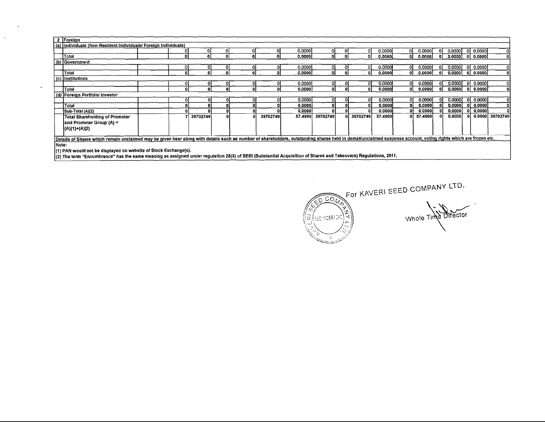| 2 Foreign                                                                                                                                                                                                      |  |  |          |   |  |          |         |                  |  |          |         |    |         |    |         |    |            |                 |
|----------------------------------------------------------------------------------------------------------------------------------------------------------------------------------------------------------------|--|--|----------|---|--|----------|---------|------------------|--|----------|---------|----|---------|----|---------|----|------------|-----------------|
| (a) Individuals (Non-Resident Individuals/ Foreign Individuals)                                                                                                                                                |  |  |          |   |  |          |         |                  |  |          |         |    |         |    |         |    |            |                 |
|                                                                                                                                                                                                                |  |  |          |   |  |          | 0.0000  |                  |  | 0        | 0.0000  | ΩI | 0.0000  |    | 0.0000  | οI | 0.0000     | $\Omega$        |
| Total                                                                                                                                                                                                          |  |  |          |   |  |          | 0.00001 |                  |  |          | 0.0000  | ۵I | 0.0000  |    | 0.0000  |    | 0.0000     | $\mathbf{0}$    |
| (b) Government                                                                                                                                                                                                 |  |  |          |   |  |          |         |                  |  |          |         |    |         |    |         |    |            |                 |
|                                                                                                                                                                                                                |  |  |          |   |  |          | 0.0000  |                  |  |          | 0.0000  | 01 | 0.0000  |    | 0.00001 | ΩI | 0.0000     | 0               |
| Total                                                                                                                                                                                                          |  |  |          |   |  |          | 0.0000  | ΩL               |  |          | 0.00001 | 01 | 0.0000  | ΩI | 0.0000  |    | 0 0.0000   | $\mathbf{0}$    |
| (c) Institutions                                                                                                                                                                                               |  |  |          |   |  |          |         |                  |  |          |         |    |         |    |         |    |            |                 |
| 0 0.0000<br>0.0000<br>0.0000<br>0.0000<br>0.0000<br>0<br>01<br>ΩI<br>ΩI<br>υı                                                                                                                                  |  |  |          |   |  |          |         |                  |  |          |         |    |         |    |         |    |            |                 |
| 0.00001<br>ol 0.0000l<br> Total<br>0.0000<br>0.0000<br>0.00001<br>$\bf{0}$<br>Ωl<br>01<br>- Gi                                                                                                                 |  |  |          |   |  |          |         |                  |  |          |         |    |         |    |         |    |            |                 |
| (d) Foreign Portfolio Investor                                                                                                                                                                                 |  |  |          |   |  |          |         |                  |  |          |         |    |         |    |         |    |            |                 |
|                                                                                                                                                                                                                |  |  |          | υ |  |          | 0.0000  | ΩL               |  |          | 0.0000  | 01 | 0.0000  |    | 0.0000  |    | 이 0.000이   |                 |
| Total                                                                                                                                                                                                          |  |  |          |   |  |          | 0.0000  | 0 I              |  |          | 0.0000  | 0. | 0.00001 |    | 0.0000  |    | 0   0.0000 | 0               |
| Sub-Total (A)(2)                                                                                                                                                                                               |  |  |          |   |  |          | 0.0000  | 01               |  |          | 0.0000  |    | 0,0000  |    | 0.0000  |    | 0.0000     |                 |
| Total Shareholding of Promoter                                                                                                                                                                                 |  |  | 39702749 |   |  | 39702749 |         | 57.4900 39702749 |  | 39702749 | 57.4900 |    | 57.4900 |    | 0.0000  |    |            | 0.0000 39702749 |
| and Promoter Group (A) =                                                                                                                                                                                       |  |  |          |   |  |          |         |                  |  |          |         |    |         |    |         |    |            |                 |
| (A)(1)+(A)(2)                                                                                                                                                                                                  |  |  |          |   |  |          |         |                  |  |          |         |    |         |    |         |    |            |                 |
|                                                                                                                                                                                                                |  |  |          |   |  |          |         |                  |  |          |         |    |         |    |         |    |            |                 |
| Details of Shares which remain unclaimed may be given hear along with details such as number of shareholders, outstanding shares held in demat/unclaimed suspense account, voting rights which are frozen etc. |  |  |          |   |  |          |         |                  |  |          |         |    |         |    |         |    |            |                 |
| lNote:                                                                                                                                                                                                         |  |  |          |   |  |          |         |                  |  |          |         |    |         |    |         |    |            |                 |
| (1) PAN would not be displayed on website of Stock Exchange(s).                                                                                                                                                |  |  |          |   |  |          |         |                  |  |          |         |    |         |    |         |    |            |                 |

ंट

(2) The term "Encumbrance" has the same meaning as assigned under regulation 28(3) of SEBI (Substantial Acquisition of Shares and Takeovers) Regulations, 2011.

 $\Delta$ 

 $\ddot{\phantom{a}}$ 

For KAVERI SEED COMPANY LTD.  $\widehat{\circ}$  com Whole Time Director  $\frac{2}{\lambda}$ SECTINGERACAD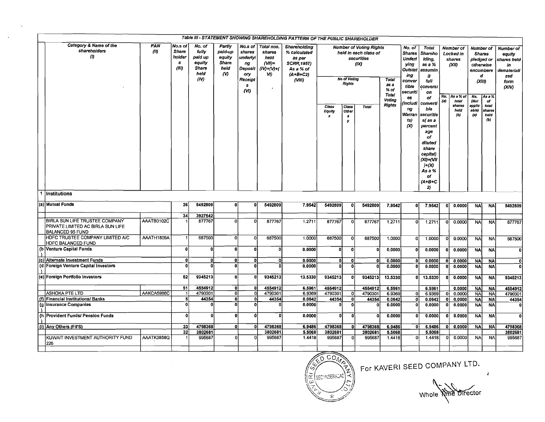|                                                                                         |             |                                                 |                                                               |                                                          |                                                                              |                                                                      | Table III - STATEMENT SHOWING SHAREHOLDING PATTERN OF THE PUBLIC SHAREHOLDER                         |                      |                               |                                                                               |                                                 |                                                                                                                    |                                                                                                                                                 |            |                                                                 |                                                                                                  |                                |                                                                                        |
|-----------------------------------------------------------------------------------------|-------------|-------------------------------------------------|---------------------------------------------------------------|----------------------------------------------------------|------------------------------------------------------------------------------|----------------------------------------------------------------------|------------------------------------------------------------------------------------------------------|----------------------|-------------------------------|-------------------------------------------------------------------------------|-------------------------------------------------|--------------------------------------------------------------------------------------------------------------------|-------------------------------------------------------------------------------------------------------------------------------------------------|------------|-----------------------------------------------------------------|--------------------------------------------------------------------------------------------------|--------------------------------|----------------------------------------------------------------------------------------|
| Category & Name of the<br>shareholders<br>$\boldsymbol{\theta}$                         | PAN<br>(ii) | No.s of<br><b>Share</b><br>holder<br>s<br>(III) | No. of<br>fully<br>paid up<br>equity<br>Share<br>heid<br>(IV) | Partly<br>paid-up<br>equity<br>Share<br>held<br>$\omega$ | No.s of<br>shares<br>underlyi<br>ng<br>Deposit<br>ory<br>Receipt<br>s<br>(M) | Total nos.<br>shares<br>held<br>$(VH)=$<br>$(IV) + (V) + (V)$<br>VI) | Shareholding<br>% calculated<br>as per<br><b>SCRR 1957)</b><br>As a % of<br>$(A + B + C2)$<br>(VIII) |                      | <b>No of Voting</b><br>Rights | <b>Number of Voting Rights</b><br>held in each class of<br>securities<br>(IX) | <b>Total</b><br>as a<br>% of<br>Total<br>Voting | No. of<br><b>Shares</b><br><b>Underl</b><br>ying<br>Outstat<br>ing<br>conver<br>tible<br>securiti<br>es<br>includi | Total<br><b>Shareho</b><br>lding,<br>as a %<br>assumin<br>g<br>full<br>conversi<br>оп<br>of<br>converti                                         | No.<br>(a) | Number of<br>Locked in<br>shares<br>(XII)<br>As a % of<br>total | Number of<br><b>Shares</b><br>pledged or<br>otherwise<br>encumbere<br>d<br>(XIII)<br>No.<br>(Not | As a %<br>- of                 | <b>Number of</b><br>equity<br>shares held<br>in<br>demateriali<br>zed<br>form<br>(XIV) |
|                                                                                         |             |                                                 |                                                               |                                                          |                                                                              |                                                                      |                                                                                                      | Class<br>Equity<br>x | Class<br>Other<br>s<br>y      | <b>Total</b>                                                                  | <b>Rights</b>                                   | ng<br>Warran<br>ts)<br>$\infty$                                                                                    | ble<br>securitie<br>s(as a<br>percent<br>age<br>of<br>diluted<br>share<br>capital)<br>$(XI) = (VII)$<br>H(X)<br>As a %<br>οf<br>$(A+B+C)$<br>2) |            | shares<br>held<br>(b)                                           | applic<br>able)<br>$\left( a\right)$                                                             | total<br>shares<br>held<br>(b) |                                                                                        |
| 1 Institutions                                                                          |             |                                                 |                                                               |                                                          |                                                                              |                                                                      |                                                                                                      |                      |                               |                                                                               |                                                 |                                                                                                                    |                                                                                                                                                 |            |                                                                 |                                                                                                  |                                |                                                                                        |
| (a) Mutual Funds                                                                        |             | 36                                              | 5492809                                                       | $\mathbf{0}$                                             | U                                                                            | 5492809                                                              | 7.9542                                                                                               | 5492809              | οl                            | 5492809                                                                       | 7.9542                                          | $\mathbf{0}$                                                                                                       | 7.9542                                                                                                                                          |            | 0.0000                                                          | <b>NA</b>                                                                                        | <b>NA</b>                      | 5492809                                                                                |
|                                                                                         |             | 34                                              | 3927542                                                       |                                                          |                                                                              |                                                                      |                                                                                                      |                      |                               |                                                                               |                                                 |                                                                                                                    |                                                                                                                                                 |            |                                                                 |                                                                                                  |                                |                                                                                        |
| BIRLA SUN LIFE TRUSTEE COMPANY<br>PRIVATE LIMITED AC BIRLA SUN LIFE<br>BALANCED 95 FUND | AAATB0102C  |                                                 | 877767                                                        |                                                          | n                                                                            | 877767                                                               | 1.2711                                                                                               | 877767               | οl                            | 877767                                                                        | 1.2711                                          | U                                                                                                                  | 1.2711                                                                                                                                          | ΩI         | 0.0000                                                          | <b>NA</b>                                                                                        | <b>NA</b>                      | 877767                                                                                 |
| HDFC TRUSTEE COMPANY LIMITED A/C<br><b>HDFC BALANCED FUND</b>                           | AAATH1809A  |                                                 | 687500                                                        | ٥l                                                       | $\overline{0}$                                                               | 687500                                                               | 1.0000                                                                                               | 687500               | 0l                            | 687500                                                                        | 1.0000                                          | ٥I                                                                                                                 | 1,0000                                                                                                                                          |            | 0.0000                                                          | <b>NA</b>                                                                                        | <b>NA</b>                      | 687500                                                                                 |
| (b Venture Capital Funds                                                                |             | $\mathbf{0}$                                    | n                                                             | 0l                                                       | 0                                                                            | 0                                                                    | 0.0000                                                                                               | $\mathbf{0}$         | $\mathbf{0}$                  | o                                                                             | 0.0000                                          | $\Omega$                                                                                                           | 0.0000                                                                                                                                          | οı         | 0.0000                                                          | <b>NA</b>                                                                                        | <b>NA</b>                      | οI                                                                                     |
| (c) Alternate Investment Funds                                                          |             | ΩI                                              | 0                                                             | ٥l                                                       | n                                                                            | 0                                                                    | 0.0000                                                                                               | ٥I                   | $\mathbf{0}$                  | 0                                                                             | 0.0000                                          | o                                                                                                                  | 0.0000                                                                                                                                          | ΩI         | 0.0000                                                          | <b>NA</b>                                                                                        | <b>NA</b>                      | 0                                                                                      |
| (d   Foreign Venture Capital Investors                                                  |             | $\Omega$                                        | Ω                                                             | ol                                                       | O                                                                            |                                                                      | 0.0000                                                                                               | ٥I                   | οl                            | O                                                                             | 0.0000                                          | o                                                                                                                  | 0.0000                                                                                                                                          | n          | 0.0000                                                          | <b>NA</b>                                                                                        | <b>NA</b>                      | $\mathbf{0}$                                                                           |
| (e) Foreign Portfolio Investors                                                         |             | 52                                              | 9345213                                                       | $\mathbf{0}$                                             |                                                                              | 9345213                                                              | 13.5330                                                                                              | 9345213              | οl                            | 9345213                                                                       | 13.5330                                         | 01                                                                                                                 | 13.5330                                                                                                                                         | ٥I         | 0.0000                                                          | <b>NA</b>                                                                                        | <b>NA</b>                      | 9345213                                                                                |
|                                                                                         |             | 51                                              | 4554912                                                       | ol                                                       | ۵I                                                                           | 4554912                                                              | 6.5961                                                                                               | 4554912              |                               | 4554912                                                                       | 6.5961                                          |                                                                                                                    | 6.5961                                                                                                                                          |            | 0.0000                                                          | <b>NA</b>                                                                                        | <b>NA</b>                      | 4554912                                                                                |
| ASHOKA PTE LTD                                                                          | AAKCA5986C  | -11                                             | 4790301                                                       | Ol                                                       | ٥I                                                                           | 4790301                                                              | 6.9369                                                                                               | 4790301              | οl                            | 4790301                                                                       | 6.9369                                          | -01                                                                                                                | 6.9369                                                                                                                                          | 0l         | 0.0000                                                          | <b>NA</b>                                                                                        | <b>NA</b>                      | 4790301                                                                                |
| (f) Financial Institutions/ Banks                                                       |             | $\overline{\mathbf{s}}$                         | 44354                                                         | $\bar{\mathbf{0}}$                                       | $\mathbf{0}$                                                                 | 44354                                                                | 0.0642                                                                                               | 44354                | οl                            | 44354                                                                         | 0.0642                                          | 0l                                                                                                                 | 0.0642                                                                                                                                          | οl         | 0.0000                                                          | <b>NA</b>                                                                                        | <b>NA</b>                      | 44354                                                                                  |
| (g   Insurance Companies                                                                |             | $\Omega$                                        | ß                                                             | ٥l                                                       | $\Omega$                                                                     |                                                                      | 0.0000                                                                                               | n.                   | οl                            | o                                                                             | 0.0000                                          | οI                                                                                                                 | 0.0000                                                                                                                                          |            | 0.0000                                                          | <b>NA</b>                                                                                        | <b>NA</b>                      |                                                                                        |
| (h Provident Funds/ Pension Funds)                                                      |             |                                                 | £                                                             | 0                                                        | O                                                                            | n                                                                    | 0.0000                                                                                               | O                    | $\Omega$                      | 0                                                                             | 0.0000                                          | o                                                                                                                  | 0.0000                                                                                                                                          |            | 0.0000                                                          | <b>NA</b>                                                                                        | <b>NA</b>                      | $\mathbf 0$                                                                            |
| (i) Any Others (FII'S)                                                                  |             | 33                                              | 4798368                                                       | ٥l                                                       | $\mathbf{0}$                                                                 | 4798368                                                              | 6.9486                                                                                               | 4798368              | ol                            | 4798368                                                                       | 6.9486                                          | 0l                                                                                                                 | 6.9486                                                                                                                                          | ٥I         | 0.0000                                                          | <b>NA</b>                                                                                        | <b>NA</b>                      | 4798368                                                                                |
|                                                                                         |             | 32                                              | 3802681                                                       |                                                          |                                                                              | 3802681                                                              | 5.5068                                                                                               | 3802681              |                               | 3802681                                                                       | 5.5068                                          |                                                                                                                    | 5.5068                                                                                                                                          |            |                                                                 |                                                                                                  |                                | 3802681                                                                                |
| KUWAIT INVESTMENT AUTHORITY FUND<br>226                                                 | AAATK3858Q  |                                                 | 995687                                                        | ٥l                                                       | Ω                                                                            | 995687                                                               | 1,4418                                                                                               | 995687               | $\mathbf{0}$                  | 995687                                                                        | 1.4418                                          | 0                                                                                                                  | 1.4418                                                                                                                                          |            | 0.0000                                                          | <b>NA</b>                                                                                        | <b>NA</b>                      | 995687                                                                                 |
|                                                                                         |             |                                                 |                                                               |                                                          |                                                                              |                                                                      |                                                                                                      |                      |                               |                                                                               |                                                 |                                                                                                                    |                                                                                                                                                 |            |                                                                 |                                                                                                  |                                |                                                                                        |

 $\Delta$ 

 $\overline{c}$  $\left(\widetilde{\widetilde{\mathcal{L}}}\left(\text{SEC'INDERACAC}\right)\right)$  $\frac{1}{k}$ 

For KAVERI SEED COMPANY LTD. **1** 

Whole Nme Director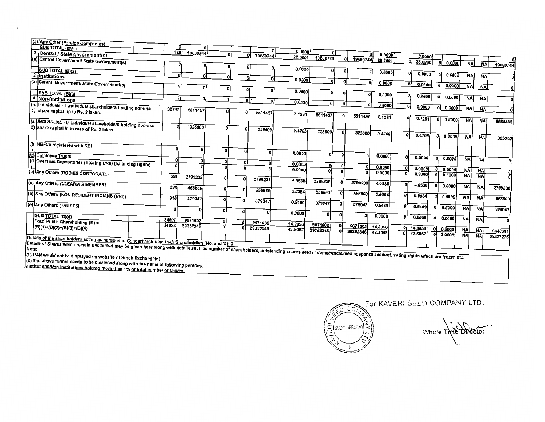|     | (J) Any Other (Foreign Companies)                                                                                                                                                                                                                                                                                      |              |               |                  |                         |                |         |          |              |               |         |          |                         |          |              |           |           |                |
|-----|------------------------------------------------------------------------------------------------------------------------------------------------------------------------------------------------------------------------------------------------------------------------------------------------------------------------|--------------|---------------|------------------|-------------------------|----------------|---------|----------|--------------|---------------|---------|----------|-------------------------|----------|--------------|-----------|-----------|----------------|
|     | <b>SUB TOTAL (B)(1)</b>                                                                                                                                                                                                                                                                                                |              | n             |                  |                         | ΩI             |         |          |              |               |         |          |                         |          |              |           |           |                |
|     | Central / State government(s)                                                                                                                                                                                                                                                                                          | 126          | 19680744      | $\Omega$         |                         | ٨I<br>19680744 | 0.0000  |          | οl           |               | 0.0000  |          | 0.0000                  |          |              |           |           |                |
|     | (a) Central Government/ State Government(s)                                                                                                                                                                                                                                                                            |              |               |                  |                         |                | 28.5001 | 19680744 |              | 19680744<br>Λ | 28.5001 |          | $\mathbf{v}$<br>28.5000 |          |              |           |           |                |
|     |                                                                                                                                                                                                                                                                                                                        |              | 0             | n                | $\Omega$                |                |         |          |              |               |         |          |                         |          | ΩI<br>0.0000 | <b>NA</b> | <b>NA</b> | 19680744       |
|     | SUB TOTAL (B)(2)                                                                                                                                                                                                                                                                                                       |              |               |                  |                         |                | 0.0000  |          | $\Omega$     |               |         |          |                         |          |              |           |           |                |
| 3   | Institutions                                                                                                                                                                                                                                                                                                           |              | n<br>$\Omega$ | ٥Ι               |                         |                |         |          |              |               | 0.0000  |          | 0.0000                  |          | ΩL<br>0.0000 | <b>NA</b> | NA        | $\overline{0}$ |
|     |                                                                                                                                                                                                                                                                                                                        |              |               |                  | $\overline{0}$          | ٥I             | 0.0000  |          | ٥I           | O<br>$\Omega$ |         |          |                         |          |              |           |           |                |
|     | (a) Central Government/ State Government(s)                                                                                                                                                                                                                                                                            | û            |               |                  |                         |                |         |          |              |               | 0.0000  | οl       | 0.0000                  |          | οŀ<br>0.0000 | <b>NA</b> | <b>NA</b> |                |
|     |                                                                                                                                                                                                                                                                                                                        |              | ŋ             | 0                |                         |                | 0.0000  |          |              |               |         |          |                         |          |              |           |           | $\mathbf{0}$   |
|     | <b>SUB TOTAL (B)(3)</b>                                                                                                                                                                                                                                                                                                | $\mathbf{0}$ |               |                  |                         |                |         |          |              | $\mathbf{r}$  | 0.0000  | $\Omega$ | 0.0000                  | $\Omega$ | 0.0000       | <b>NA</b> |           |                |
|     | 4 Non-institutions                                                                                                                                                                                                                                                                                                     |              | ۵I            | ٥l               | $\overline{\mathbf{0}}$ | $\sqrt{2}$     | 0.0000  |          |              |               |         |          |                         |          |              |           | <b>NA</b> | $\Omega$       |
| (a. | Individuals - i. Individual shareholders holding nominal                                                                                                                                                                                                                                                               |              |               |                  |                         |                |         | ٥I       | $\Omega$     | οl            | 0.0000  | ٥l       | 0.0000                  | ΩI       | 0.0000       |           |           |                |
|     | 1) share capital up to Rs. 2 lakhs.                                                                                                                                                                                                                                                                                    | 32747        | 5611457       |                  |                         | 5611457        |         |          |              |               |         |          |                         |          |              | <b>NA</b> | <b>NA</b> | $\mathbf{0}$   |
|     |                                                                                                                                                                                                                                                                                                                        |              |               |                  |                         |                | 8.1261  | 5611457  |              | 5611457       | 8.1261  | o        |                         |          |              |           |           |                |
|     |                                                                                                                                                                                                                                                                                                                        |              |               |                  |                         |                |         |          |              |               |         |          | 8.1261                  | ΩI       | 0.0000       | <b>NA</b> | <b>NA</b> | 5586386        |
|     | (a. INDIVIDUAL - ii. Individual shareholders holding nominal                                                                                                                                                                                                                                                           |              | 325000        |                  |                         |                |         |          |              |               |         |          |                         |          |              |           |           |                |
|     | 2) Share capital in excess of Rs. 2 lakhs.                                                                                                                                                                                                                                                                             |              |               |                  |                         | 325000         | 0.4706  | 325000   | ŋ            | 325000        | 0.4706  |          |                         |          |              |           |           |                |
|     |                                                                                                                                                                                                                                                                                                                        |              |               |                  |                         |                |         |          |              |               |         | $\Omega$ | 0.4706                  | n.       | 0.0000       | <b>NA</b> | <b>NA</b> | 325000         |
|     |                                                                                                                                                                                                                                                                                                                        |              |               |                  |                         |                |         |          |              |               |         |          |                         |          |              |           |           |                |
|     | (b NBFCs registered with RBI                                                                                                                                                                                                                                                                                           | 0            |               |                  |                         |                |         |          |              |               |         |          |                         |          |              |           |           |                |
|     |                                                                                                                                                                                                                                                                                                                        |              | n             | $\sqrt{2}$       | $\Omega$                | O              | 0.0000  | $\Omega$ |              |               |         |          |                         |          |              |           |           |                |
|     | (c) Employee Trusts                                                                                                                                                                                                                                                                                                    |              |               |                  |                         |                |         |          | ٥l           | n             | 0.0000  | $\Omega$ | 0.0000                  |          | 0.0000       | <b>NA</b> | <b>NA</b> |                |
|     | (d Overseas Depositories (holding DRs) (balancing figure)                                                                                                                                                                                                                                                              |              | $\Omega$      | $\mathbf{a}$     | $\Omega$                | Ω              | 0.0000  |          |              |               |         |          |                         |          |              |           |           |                |
|     |                                                                                                                                                                                                                                                                                                                        |              |               |                  |                         |                | 0.0000  | ٥l       | $\Omega$     | ٥I            | 0.0000  | ŋ        | 0.0000                  |          | 0.0000       |           |           |                |
|     | (e) Any Others (BODIES CORPORATE)                                                                                                                                                                                                                                                                                      |              |               |                  |                         |                |         | ٥I       |              |               | 0.0000  |          | 0.0000                  |          | 0.0000       | <b>NA</b> | <b>NA</b> |                |
|     |                                                                                                                                                                                                                                                                                                                        | 554          | 2799238       | $\Omega$         | n                       | 2799238        |         |          |              |               |         |          |                         |          |              | <b>NA</b> | <b>NA</b> |                |
|     | (e) Any Others (CLEARING MEMBER)                                                                                                                                                                                                                                                                                       |              |               |                  |                         |                | 4.0536  | 2799238  | $\Omega$     | 2799238       | 4.0536  |          | 4.0536                  |          |              |           |           |                |
|     |                                                                                                                                                                                                                                                                                                                        | 294          | 556860        | $\boldsymbol{0}$ | o                       |                |         |          |              |               |         |          |                         |          | 0.0000       | <b>NA</b> | <b>NA</b> | 2799238        |
|     |                                                                                                                                                                                                                                                                                                                        |              |               |                  |                         | 556860         | 0.8064  | 556860   | $\mathbf{o}$ | 556860        | 0.8064  | 0        |                         |          |              |           |           |                |
|     | (e) Any Others (NON RESIDENT INDIANS (NRI))                                                                                                                                                                                                                                                                            | 910          | 379047        | οl               |                         |                |         |          |              |               |         |          | 0.8064                  |          | 0.0000       | <b>NA</b> | <b>NA</b> | 556860         |
|     |                                                                                                                                                                                                                                                                                                                        |              |               |                  | $\Omega$                | 379047         | 0.5489  | 379047   | $\sqrt{2}$   | 379047        | 0.5489  |          |                         |          |              |           |           |                |
|     | (e) Any Others (TRUSTS)                                                                                                                                                                                                                                                                                                | ۵I           |               |                  |                         |                |         |          |              |               |         | $\Omega$ | 0.5489                  |          | 0.0000       | <b>NA</b> | <b>NA</b> | 379047         |
|     |                                                                                                                                                                                                                                                                                                                        |              |               | $\Omega$         | n                       | n              | 0.0000  | O.       | 0            | $\Omega$      |         |          |                         |          |              |           |           |                |
|     | SUB TOTAL (B)(4)                                                                                                                                                                                                                                                                                                       | 34507        | 9671602       |                  |                         |                |         |          |              |               | 0.0000  |          | 0.0000                  |          | 0.0000       | <b>NA</b> | <b>NA</b> |                |
|     | Total Public Shareholding $(B)$ =                                                                                                                                                                                                                                                                                      | 34633        |               | o                | ٥l                      | 9671602        | 14.0056 | 9671602  | ٥l           |               |         |          |                         |          |              |           |           |                |
|     | (B)(1)+(B)(2)+(B)(3)+(B)(4)                                                                                                                                                                                                                                                                                            |              | 29352346      | O                |                         | 29352346       | 42.5057 | 29352346 |              | 9671602       | 14.0056 | U        | 14.0056                 |          | 0.0000       | <b>NA</b> | <b>NA</b> | 9646531        |
|     |                                                                                                                                                                                                                                                                                                                        |              |               |                  |                         |                |         |          |              | 29352346      | 42.5057 | n        | 42.5057                 |          | 0.0000       | <b>NA</b> | <b>NA</b> |                |
|     |                                                                                                                                                                                                                                                                                                                        |              |               |                  |                         |                |         |          |              |               |         |          |                         |          |              |           |           | 29327275       |
|     | Details of the shareholders acting as persons in Concert including their Shareholding (No. and %): 0<br>Details of Shares which remain unclaimed may be given hear along with details such as number of shareholders, outstanding shares held in demat/unclaimed suspense account, voting rights which are frozen etc. |              |               |                  |                         |                |         |          |              |               |         |          |                         |          |              |           |           |                |
|     |                                                                                                                                                                                                                                                                                                                        |              |               |                  |                         |                |         |          |              |               |         |          |                         |          |              |           |           |                |
|     |                                                                                                                                                                                                                                                                                                                        |              |               |                  |                         |                |         |          |              |               |         |          |                         |          |              |           |           |                |
|     | (1) PAN would not be displayed on website of Stock Exchange(s).                                                                                                                                                                                                                                                        |              |               |                  |                         |                |         |          |              |               |         |          |                         |          |              |           |           |                |
|     | (2) The above format needs to be disclosed along with the name of following persons:                                                                                                                                                                                                                                   |              |               |                  |                         |                |         |          |              |               |         |          |                         |          |              |           |           |                |
|     | Institutions/Non Institutions holding more than 1% of total number of shares.                                                                                                                                                                                                                                          |              |               |                  |                         |                |         |          |              |               |         |          |                         |          |              |           |           |                |
|     |                                                                                                                                                                                                                                                                                                                        |              |               |                  |                         |                |         |          |              |               |         |          |                         |          |              |           |           |                |

 $\epsilon$ 

 $\overline{a}$  and  $\overline{a}$  and  $\overline{a}$  and  $\overline{a}$  and  $\overline{a}$  and  $\overline{a}$  and  $\overline{a}$  and  $\overline{a}$  and  $\overline{a}$  and  $\overline{a}$  and  $\overline{a}$  and  $\overline{a}$  and  $\overline{a}$  and  $\overline{a}$  and  $\overline{a}$  and  $\overline{a}$  and  $\overline{a}$  and

 $\sim$ 

 $C_{\rm O}$  $\widehat{E}$ SECHNOERAC

For KAVERI SEED COMPANY LTD.

Whole Time Director